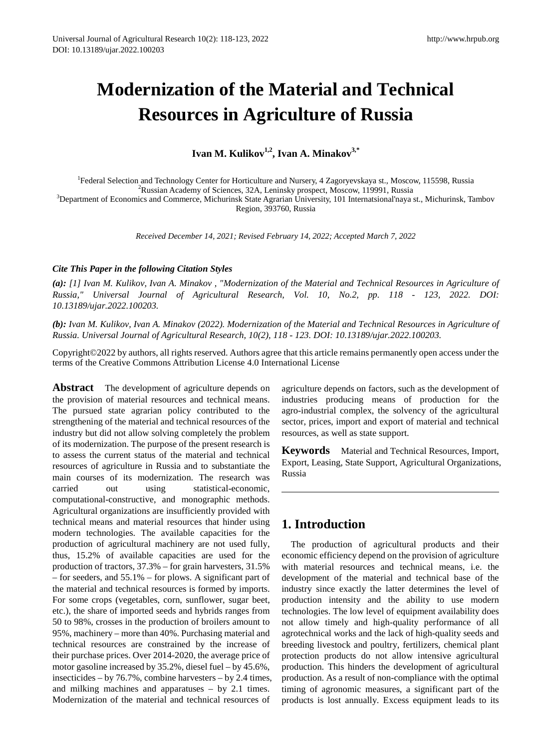# **Modernization of the Material and Technical Resources in Agriculture of Russia**

Ivan M. Kulikov<sup>1,2</sup>, Ivan A. Minakov<sup>3,\*</sup>

1 Federal Selection and Technology Center for Horticulture and Nursery, 4 Zagoryevskaya st., Moscow, 115598, Russia <sup>2</sup> <sup>2</sup>Russian Academy of Sciences, 32A, Leninsky prospect, Moscow, 119991, Russia  ${}^{3}$ Department of Economics and Commerce, Michurinsk State Agrarian University, 101 Internatsional'naya st., Michurinsk, Tambov Region, 393760, Russia

*Received December 14, 2021; Revised February 14, 2022; Accepted March 7, 2022*

#### *Cite This Paper in the following Citation Styles*

*(a): [1] Ivan M. Kulikov, Ivan A. Minakov , "Modernization of the Material and Technical Resources in Agriculture of Russia," Universal Journal of Agricultural Research, Vol. 10, No.2, pp. 118 - 123, 2022. DOI: 10.13189/ujar.2022.100203.* 

*(b): Ivan M. Kulikov, Ivan A. Minakov (2022). Modernization of the Material and Technical Resources in Agriculture of Russia. Universal Journal of Agricultural Research, 10(2), 118 - 123. DOI: 10.13189/ujar.2022.100203.* 

Copyright©2022 by authors, all rights reserved. Authors agree that this article remains permanently open access under the terms of the Creative Commons Attribution License 4.0 International License

**Abstract** The development of agriculture depends on the provision of material resources and technical means. The pursued state agrarian policy contributed to the strengthening of the material and technical resources of the industry but did not allow solving completely the problem of its modernization. The purpose of the present research is to assess the current status of the material and technical resources of agriculture in Russia and to substantiate the main courses of its modernization. The research was carried out using statistical-economic, computational-constructive, and monographic methods. Agricultural organizations are insufficiently provided with technical means and material resources that hinder using modern technologies. The available capacities for the production of agricultural machinery are not used fully, thus, 15.2% of available capacities are used for the production of tractors, 37.3% – for grain harvesters, 31.5% – for seeders, and 55.1% – for plows. A significant part of the material and technical resources is formed by imports. For some crops (vegetables, corn, sunflower, sugar beet, etc.), the share of imported seeds and hybrids ranges from 50 to 98%, crosses in the production of broilers amount to 95%, machinery – more than 40%. Purchasing material and technical resources are constrained by the increase of their purchase prices. Over 2014-2020, the average price of motor gasoline increased by 35.2%, diesel fuel – by 45.6%, insecticides – by 76.7%, combine harvesters – by 2.4 times, and milking machines and apparatuses – by 2.1 times. Modernization of the material and technical resources of

agriculture depends on factors, such as the development of industries producing means of production for the agro-industrial complex, the solvency of the agricultural sector, prices, import and export of material and technical resources, as well as state support.

**Keywords** Material and Technical Resources, Import, Export, Leasing, State Support, Agricultural Organizations, Russia

# **1. Introduction**

The production of agricultural products and their economic efficiency depend on the provision of agriculture with material resources and technical means, i.e. the development of the material and technical base of the industry since exactly the latter determines the level of production intensity and the ability to use modern technologies. The low level of equipment availability does not allow timely and high-quality performance of all agrotechnical works and the lack of high-quality seeds and breeding livestock and poultry, fertilizers, chemical plant protection products do not allow intensive agricultural production. This hinders the development of agricultural production. As a result of non-compliance with the optimal timing of agronomic measures, a significant part of the products is lost annually. Excess equipment leads to its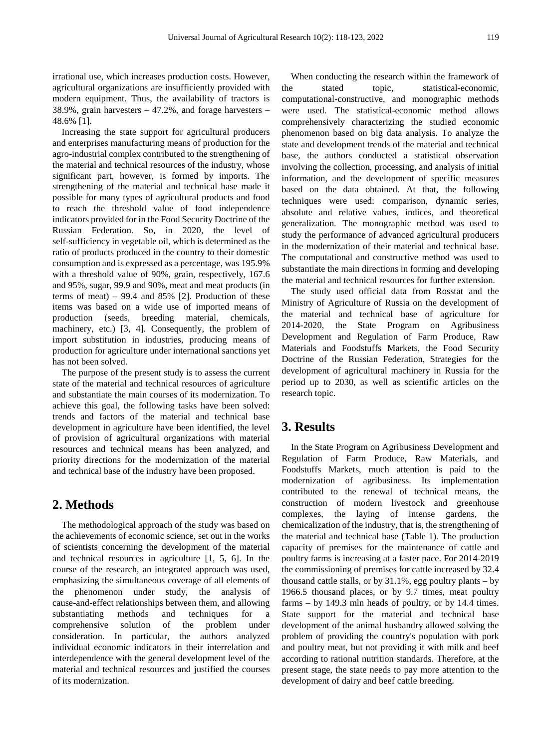irrational use, which increases production costs. However, agricultural organizations are insufficiently provided with modern equipment. Thus, the availability of tractors is 38.9%, grain harvesters – 47.2%, and forage harvesters – 48.6% [1].

Increasing the state support for agricultural producers and enterprises manufacturing means of production for the agro-industrial complex contributed to the strengthening of the material and technical resources of the industry, whose significant part, however, is formed by imports. The strengthening of the material and technical base made it possible for many types of agricultural products and food to reach the threshold value of food independence indicators provided for in the Food Security Doctrine of the Russian Federation. So, in 2020, the level of self-sufficiency in vegetable oil, which is determined as the ratio of products produced in the country to their domestic consumption and is expressed as a percentage, was 195.9% with a threshold value of 90%, grain, respectively, 167.6 and 95%, sugar, 99.9 and 90%, meat and meat products (in terms of meat) – 99.4 and  $85\%$  [2]. Production of these items was based on a wide use of imported means of production (seeds, breeding material, chemicals, machinery, etc.) [3, 4]. Consequently, the problem of import substitution in industries, producing means of production for agriculture under international sanctions yet has not been solved.

The purpose of the present study is to assess the current state of the material and technical resources of agriculture and substantiate the main courses of its modernization. To achieve this goal, the following tasks have been solved: trends and factors of the material and technical base development in agriculture have been identified, the level of provision of agricultural organizations with material resources and technical means has been analyzed, and priority directions for the modernization of the material and technical base of the industry have been proposed.

# **2. Methods**

The methodological approach of the study was based on the achievements of economic science, set out in the works of scientists concerning the development of the material and technical resources in agriculture [1, 5, 6]. In the course of the research, an integrated approach was used, emphasizing the simultaneous coverage of all elements of the phenomenon under study, the analysis of cause-and-effect relationships between them, and allowing substantiating methods and techniques for a comprehensive solution of the problem under consideration. In particular, the authors analyzed individual economic indicators in their interrelation and interdependence with the general development level of the material and technical resources and justified the courses of its modernization.

When conducting the research within the framework of the stated topic, statistical-economic, computational-constructive, and monographic methods were used. The statistical-economic method allows comprehensively characterizing the studied economic phenomenon based on big data analysis. To analyze the state and development trends of the material and technical base, the authors conducted a statistical observation involving the collection, processing, and analysis of initial information, and the development of specific measures based on the data obtained. At that, the following techniques were used: comparison, dynamic series, absolute and relative values, indices, and theoretical generalization. The monographic method was used to study the performance of advanced agricultural producers in the modernization of their material and technical base. The computational and constructive method was used to substantiate the main directions in forming and developing the material and technical resources for further extension.

The study used official data from Rosstat and the Ministry of Agriculture of Russia on the development of the material and technical base of agriculture for 2014-2020, the State Program on Agribusiness Development and Regulation of Farm Produce, Raw Materials and Foodstuffs Markets, the Food Security Doctrine of the Russian Federation, Strategies for the development of agricultural machinery in Russia for the period up to 2030, as well as scientific articles on the research topic.

# **3. Results**

In the State Program on Agribusiness Development and Regulation of Farm Produce, Raw Materials, and Foodstuffs Markets, much attention is paid to the modernization of agribusiness. Its implementation contributed to the renewal of technical means, the construction of modern livestock and greenhouse complexes, the laying of intense gardens, the chemicalization of the industry, that is, the strengthening of the material and technical base (Table 1). The production capacity of premises for the maintenance of cattle and poultry farms is increasing at a faster pace. For 2014-2019 the commissioning of premises for cattle increased by 32.4 thousand cattle stalls, or by  $31.1\%$ , egg poultry plants – by 1966.5 thousand places, or by 9.7 times, meat poultry farms – by 149.3 mln heads of poultry, or by 14.4 times. State support for the material and technical base development of the animal husbandry allowed solving the problem of providing the country's population with pork and poultry meat, but not providing it with milk and beef according to rational nutrition standards. Therefore, at the present stage, the state needs to pay more attention to the development of dairy and beef cattle breeding.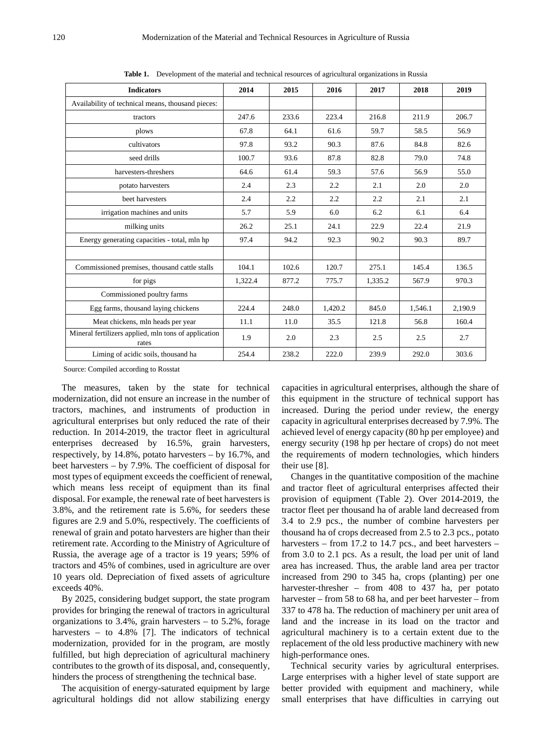| <b>Indicators</b>                                             | 2014    | 2015  | 2016    | 2017    | 2018    | 2019    |
|---------------------------------------------------------------|---------|-------|---------|---------|---------|---------|
| Availability of technical means, thousand pieces:             |         |       |         |         |         |         |
| tractors                                                      | 247.6   | 233.6 | 223.4   | 216.8   | 211.9   | 206.7   |
| plows                                                         | 67.8    | 64.1  | 61.6    | 59.7    | 58.5    | 56.9    |
| cultivators                                                   | 97.8    | 93.2  | 90.3    | 87.6    | 84.8    | 82.6    |
| seed drills                                                   | 100.7   | 93.6  | 87.8    | 82.8    | 79.0    | 74.8    |
| harvesters-threshers                                          | 64.6    | 61.4  | 59.3    | 57.6    | 56.9    | 55.0    |
| potato harvesters                                             | 2.4     | 2.3   | 2.2     | 2.1     | 2.0     | 2.0     |
| beet harvesters                                               | 2.4     | 2.2   | 2.2     | 2.2     | 2.1     | 2.1     |
| irrigation machines and units                                 | 5.7     | 5.9   | 6.0     | 6.2     | 6.1     | 6.4     |
| milking units                                                 | 26.2    | 25.1  | 24.1    | 22.9    | 22.4    | 21.9    |
| Energy generating capacities - total, mln hp                  | 97.4    | 94.2  | 92.3    | 90.2    | 90.3    | 89.7    |
|                                                               |         |       |         |         |         |         |
| Commissioned premises, thousand cattle stalls                 | 104.1   | 102.6 | 120.7   | 275.1   | 145.4   | 136.5   |
| for pigs                                                      | 1,322.4 | 877.2 | 775.7   | 1,335.2 | 567.9   | 970.3   |
| Commissioned poultry farms                                    |         |       |         |         |         |         |
| Egg farms, thousand laying chickens                           | 224.4   | 248.0 | 1,420.2 | 845.0   | 1,546.1 | 2,190.9 |
| Meat chickens, mln heads per year                             | 11.1    | 11.0  | 35.5    | 121.8   | 56.8    | 160.4   |
| Mineral fertilizers applied, mln tons of application<br>rates | 1.9     | 2.0   | 2.3     | 2.5     | 2.5     | 2.7     |
| Liming of acidic soils, thousand ha                           | 254.4   | 238.2 | 222.0   | 239.9   | 292.0   | 303.6   |

**Table 1.** Development of the material and technical resources of agricultural organizations in Russia

Source: Compiled according to Rosstat

The measures, taken by the state for technical modernization, did not ensure an increase in the number of tractors, machines, and instruments of production in agricultural enterprises but only reduced the rate of their reduction. In 2014-2019, the tractor fleet in agricultural enterprises decreased by 16.5%, grain harvesters, respectively, by 14.8%, potato harvesters – by 16.7%, and beet harvesters – by 7.9%. The coefficient of disposal for most types of equipment exceeds the coefficient of renewal, which means less receipt of equipment than its final disposal. For example, the renewal rate of beet harvesters is 3.8%, and the retirement rate is 5.6%, for seeders these figures are 2.9 and 5.0%, respectively. The coefficients of renewal of grain and potato harvesters are higher than their retirement rate. According to the Ministry of Agriculture of Russia, the average age of a tractor is 19 years; 59% of tractors and 45% of combines, used in agriculture are over 10 years old. Depreciation of fixed assets of agriculture exceeds 40%.

By 2025, considering budget support, the state program provides for bringing the renewal of tractors in agricultural organizations to 3.4%, grain harvesters – to 5.2%, forage harvesters – to 4.8% [7]. The indicators of technical modernization, provided for in the program, are mostly fulfilled, but high depreciation of agricultural machinery contributes to the growth of its disposal, and, consequently, hinders the process of strengthening the technical base.

The acquisition of energy-saturated equipment by large agricultural holdings did not allow stabilizing energy capacities in agricultural enterprises, although the share of this equipment in the structure of technical support has increased. During the period under review, the energy capacity in agricultural enterprises decreased by 7.9%. The achieved level of energy capacity (80 hp per employee) and energy security (198 hp per hectare of crops) do not meet the requirements of modern technologies, which hinders their use [8].

Changes in the quantitative composition of the machine and tractor fleet of agricultural enterprises affected their provision of equipment (Table 2). Over 2014-2019, the tractor fleet per thousand ha of arable land decreased from 3.4 to 2.9 pcs., the number of combine harvesters per thousand ha of crops decreased from 2.5 to 2.3 pcs., potato harvesters – from 17.2 to 14.7 pcs., and beet harvesters – from 3.0 to 2.1 pcs. As a result, the load per unit of land area has increased. Thus, the arable land area per tractor increased from 290 to 345 ha, crops (planting) per one harvester-thresher – from 408 to 437 ha, per potato harvester – from 58 to 68 ha, and per beet harvester – from 337 to 478 ha. The reduction of machinery per unit area of land and the increase in its load on the tractor and agricultural machinery is to a certain extent due to the replacement of the old less productive machinery with new high-performance ones.

Technical security varies by agricultural enterprises. Large enterprises with a higher level of state support are better provided with equipment and machinery, while small enterprises that have difficulties in carrying out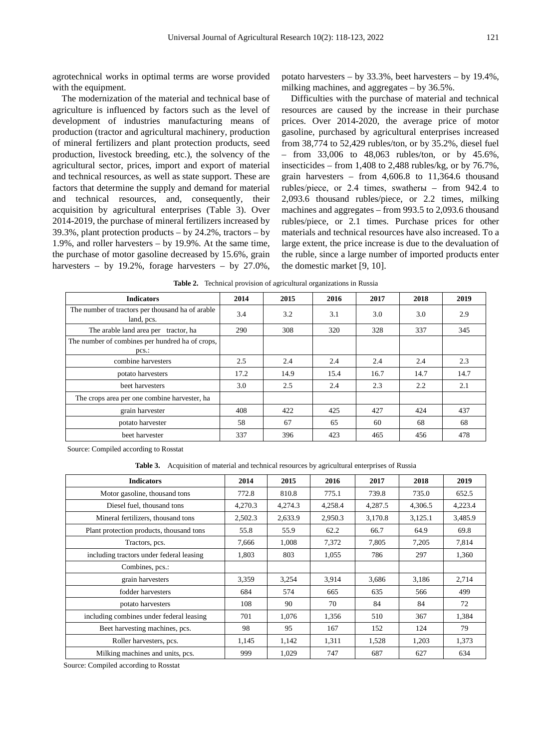agrotechnical works in optimal terms are worse provided with the equipment.

The modernization of the material and technical base of agriculture is influenced by factors such as the level of development of industries manufacturing means of production (tractor and agricultural machinery, production of mineral fertilizers and plant protection products, seed production, livestock breeding, etc.), the solvency of the agricultural sector, prices, import and export of material and technical resources, as well as state support. These are factors that determine the supply and demand for material and technical resources, and, consequently, their acquisition by agricultural enterprises (Table 3). Over 2014-2019, the purchase of mineral fertilizers increased by 39.3%, plant protection products – by 24.2%, tractors – by 1.9%, and roller harvesters – by 19.9%. At the same time, the purchase of motor gasoline decreased by 15.6%, grain harvesters – by 19.2%, forage harvesters – by 27.0%,

potato harvesters – by 33.3%, beet harvesters – by 19.4%, milking machines, and aggregates – by 36.5%.

Difficulties with the purchase of material and technical resources are caused by the increase in their purchase prices. Over 2014-2020, the average price of motor gasoline, purchased by agricultural enterprises increased from 38,774 to 52,429 rubles/ton, or by 35.2%, diesel fuel – from 33,006 to 48,063 rubles/ton, or by 45.6%, insecticides – from 1,408 to 2,488 rubles/kg, or by 76.7%, grain harvesters – from 4,606.8 to 11,364.6 thousand rubles/piece, or 2.4 times, swatherы – from 942.4 to 2,093.6 thousand rubles/piece, or 2.2 times, milking machines and aggregates – from 993.5 to 2,093.6 thousand rubles/piece, or 2.1 times. Purchase prices for other materials and technical resources have also increased. To a large extent, the price increase is due to the devaluation of the ruble, since a large number of imported products enter the domestic market [9, 10].

| <b>Indicators</b>                                              | 2014 | 2015 | 2016 | 2017 | 2018 | 2019 |
|----------------------------------------------------------------|------|------|------|------|------|------|
| The number of tractors per thousand ha of arable<br>land, pcs. | 3.4  | 3.2  | 3.1  | 3.0  | 3.0  | 2.9  |
| The arable land area per tractor, ha                           | 290  | 308  | 320  | 328  | 337  | 345  |
| The number of combines per hundred ha of crops,<br>$pcs$ :     |      |      |      |      |      |      |
| combine harvesters                                             | 2.5  | 2.4  | 2.4  | 2.4  | 2.4  | 2.3  |
| potato harvesters                                              | 17.2 | 14.9 | 15.4 | 16.7 | 14.7 | 14.7 |
| beet harvesters                                                | 3.0  | 2.5  | 2.4  | 2.3  | 2.2  | 2.1  |
| The crops area per one combine harvester, ha                   |      |      |      |      |      |      |
| grain harvester                                                | 408  | 422  | 425  | 427  | 424  | 437  |
| potato harvester                                               | 58   | 67   | 65   | 60   | 68   | 68   |
| beet harvester                                                 | 337  | 396  | 423  | 465  | 456  | 478  |

**Table 2.** Technical provision of agricultural organizations in Russia

Source: Compiled according to Rosstat

**Table 3.** Acquisition of material and technical resources by agricultural enterprises of Russia

| <b>Indicators</b>                        | 2014    | 2015    | 2016    | 2017    | 2018    | 2019    |
|------------------------------------------|---------|---------|---------|---------|---------|---------|
| Motor gasoline, thousand tons            | 772.8   | 810.8   | 775.1   | 739.8   | 735.0   | 652.5   |
| Diesel fuel, thousand tons               | 4,270.3 | 4,274.3 | 4,258.4 | 4,287.5 | 4,306.5 | 4,223.4 |
| Mineral fertilizers, thousand tons       | 2,502.3 | 2,633.9 | 2,950.3 | 3.170.8 | 3,125.1 | 3.485.9 |
| Plant protection products, thousand tons | 55.8    | 55.9    | 62.2    | 66.7    | 64.9    | 69.8    |
| Tractors, pcs.                           | 7.666   | 1.008   | 7,372   | 7.805   | 7.205   | 7,814   |
| including tractors under federal leasing | 1.803   | 803     | 1,055   | 786     | 297     | 1,360   |
| Combines, pcs.:                          |         |         |         |         |         |         |
| grain harvesters                         | 3,359   | 3,254   | 3.914   | 3,686   | 3,186   | 2,714   |
| fodder harvesters                        | 684     | 574     | 665     | 635     | 566     | 499     |
| potato harvesters                        | 108     | 90      | 70      | 84      | 84      | 72      |
| including combines under federal leasing | 701     | 1,076   | 1,356   | 510     | 367     | 1,384   |
| Beet harvesting machines, pcs.           | 98      | 95      | 167     | 152     | 124     | 79      |
| Roller harvesters, pcs.                  | 1,145   | 1,142   | 1,311   | 1,528   | 1,203   | 1,373   |
| Milking machines and units, pcs.         | 999     | 1.029   | 747     | 687     | 627     | 634     |

Source: Compiled according to Rosstat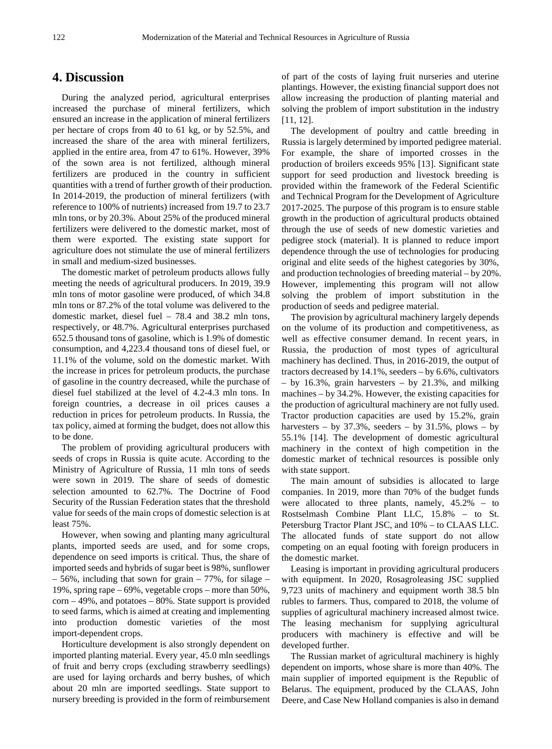### **4. Discussion**

During the analyzed period, agricultural enterprises increased the purchase of mineral fertilizers, which ensured an increase in the application of mineral fertilizers per hectare of crops from 40 to 61 kg, or by 52.5%, and increased the share of the area with mineral fertilizers, applied in the entire area, from 47 to 61%. However, 39% of the sown area is not fertilized, although mineral fertilizers are produced in the country in sufficient quantities with a trend of further growth of their production. In 2014-2019, the production of mineral fertilizers (with reference to 100% of nutrients) increased from 19.7 to 23.7 mln tons, or by 20.3%. About 25% of the produced mineral fertilizers were delivered to the domestic market, most of them were exported. The existing state support for agriculture does not stimulate the use of mineral fertilizers in small and medium-sized businesses.

The domestic market of petroleum products allows fully meeting the needs of agricultural producers. In 2019, 39.9 mln tons of motor gasoline were produced, of which 34.8 mln tons or 87.2% of the total volume was delivered to the domestic market, diesel fuel – 78.4 and 38.2 mln tons, respectively, or 48.7%. Agricultural enterprises purchased 652.5 thousand tons of gasoline, which is 1.9% of domestic consumption, and 4,223.4 thousand tons of diesel fuel, or 11.1% of the volume, sold on the domestic market. With the increase in prices for petroleum products, the purchase of gasoline in the country decreased, while the purchase of diesel fuel stabilized at the level of 4.2-4.3 mln tons. In foreign countries, a decrease in oil prices causes a reduction in prices for petroleum products. In Russia, the tax policy, aimed at forming the budget, does not allow this to be done.

The problem of providing agricultural producers with seeds of crops in Russia is quite acute. According to the Ministry of Agriculture of Russia, 11 mln tons of seeds were sown in 2019. The share of seeds of domestic selection amounted to 62.7%. The Doctrine of Food Security of the Russian Federation states that the threshold value for seeds of the main crops of domestic selection is at least 75%.

However, when sowing and planting many agricultural plants, imported seeds are used, and for some crops, dependence on seed imports is critical. Thus, the share of imported seeds and hybrids of sugar beet is 98%, sunflower  $-56\%$ , including that sown for grain  $-77\%$ , for silage  $-$ 19%, spring rape – 69%, vegetable crops – more than 50%,  $corn -49\%$ , and potatoes  $-80\%$ . State support is provided to seed farms, which is aimed at creating and implementing into production domestic varieties of the most import-dependent crops.

Horticulture development is also strongly dependent on imported planting material. Every year, 45.0 mln seedlings of fruit and berry crops (excluding strawberry seedlings) are used for laying orchards and berry bushes, of which about 20 mln are imported seedlings. State support to nursery breeding is provided in the form of reimbursement of part of the costs of laying fruit nurseries and uterine plantings. However, the existing financial support does not allow increasing the production of planting material and solving the problem of import substitution in the industry [11, 12].

The development of poultry and cattle breeding in Russia is largely determined by imported pedigree material. For example, the share of imported crosses in the production of broilers exceeds 95% [13]. Significant state support for seed production and livestock breeding is provided within the framework of the Federal Scientific and Technical Program for the Development of Agriculture 2017-2025. The purpose of this program is to ensure stable growth in the production of agricultural products obtained through the use of seeds of new domestic varieties and pedigree stock (material). It is planned to reduce import dependence through the use of technologies for producing original and elite seeds of the highest categories by 30%, and production technologies of breeding material – by 20%. However, implementing this program will not allow solving the problem of import substitution in the production of seeds and pedigree material.

The provision by agricultural machinery largely depends on the volume of its production and competitiveness, as well as effective consumer demand. In recent years, in Russia, the production of most types of agricultural machinery has declined. Thus, in 2016-2019, the output of tractors decreased by 14.1%, seeders – by 6.6%, cultivators – by 16.3%, grain harvesters – by 21.3%, and milking machines – by 34.2%. However, the existing capacities for the production of agricultural machinery are not fully used. Tractor production capacities are used by 15.2%, grain harvesters – by  $37.3\%$ , seeders – by  $31.5\%$ , plows – by 55.1% [14]. The development of domestic agricultural machinery in the context of high competition in the domestic market of technical resources is possible only with state support.

The main amount of subsidies is allocated to large companies. In 2019, more than 70% of the budget funds were allocated to three plants, namely, 45.2% – to Rostselmash Combine Plant LLC, 15.8% – to St. Petersburg Tractor Plant JSC, and 10% – to CLAAS LLC. The allocated funds of state support do not allow competing on an equal footing with foreign producers in the domestic market.

Leasing is important in providing agricultural producers with equipment. In 2020, Rosagroleasing JSC supplied 9,723 units of machinery and equipment worth 38.5 bln rubles to farmers. Thus, compared to 2018, the volume of supplies of agricultural machinery increased almost twice. The leasing mechanism for supplying agricultural producers with machinery is effective and will be developed further.

The Russian market of agricultural machinery is highly dependent on imports, whose share is more than 40%. The main supplier of imported equipment is the Republic of Belarus. The equipment, produced by the CLAAS, John Deere, and Case New Holland companies is also in demand